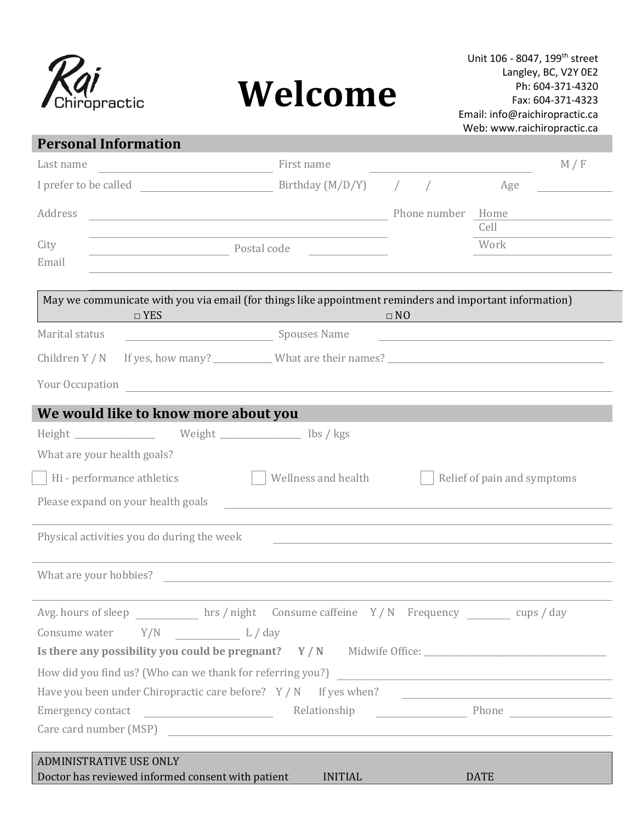

 $\begin{bmatrix} 1 & 1 & 1 \\ 1 & 1 & 1 \\ 1 & 1 & 1 \\ 1 & 1 & 1 \\ 1 & 1 & 1 \\ 1 & 1 & 1 \\ 1 & 1 & 1 \\ 1 & 1 & 1 \\ 1 & 1 & 1 \\ 1 & 1 & 1 \\ 1 & 1 & 1 \\ 1 & 1 & 1 \\ 1 & 1 & 1 \\ 1 & 1 & 1 \\ 1 & 1 & 1 \\ 1 & 1 & 1 \\ 1 & 1 & 1 & 1 \\ 1 & 1 & 1 & 1 \\ 1 & 1 & 1 & 1 \\ 1 & 1 & 1 & 1 \\ 1 & 1 & 1 & 1 \\ 1 & 1 & 1 &$ 

# **Welcome**

| <b>Personal Information</b>                                                                             |            |                                                             |                                                                                           |                      |                   |                             |                                                               |
|---------------------------------------------------------------------------------------------------------|------------|-------------------------------------------------------------|-------------------------------------------------------------------------------------------|----------------------|-------------------|-----------------------------|---------------------------------------------------------------|
| Last name                                                                                               |            | the control of the control of the control of the control of | First name                                                                                |                      |                   |                             | M / F                                                         |
| I prefer to be called                                                                                   |            |                                                             | Birthday $(M/D/Y)$                                                                        |                      |                   | Age                         |                                                               |
| Address                                                                                                 |            |                                                             | <u> 1989 - Johann Barn, fransk politik amerikansk politik (</u>                           |                      | Phone number Home | Cell                        |                                                               |
| City<br>Email                                                                                           |            | Postal code                                                 |                                                                                           |                      |                   | Work                        |                                                               |
| May we communicate with you via email (for things like appointment reminders and important information) | $\Box$ YES |                                                             |                                                                                           | $\Box$ NO            |                   |                             |                                                               |
| Marital status                                                                                          |            | Spouses Name                                                |                                                                                           |                      |                   |                             | <u> 1989 - Johann Barbara, martxa alemaniar arg</u>           |
| Children Y / N                                                                                          |            |                                                             |                                                                                           |                      |                   |                             |                                                               |
| Your Occupation                                                                                         |            |                                                             | the control of the control of the control of the control of the control of the control of |                      |                   |                             |                                                               |
| We would like to know more about you                                                                    |            |                                                             |                                                                                           |                      |                   |                             |                                                               |
| Height Meight Neight November 2015 / kgs                                                                |            |                                                             |                                                                                           |                      |                   |                             |                                                               |
| What are your health goals?                                                                             |            |                                                             |                                                                                           |                      |                   |                             |                                                               |
| Hi - performance athletics                                                                              |            |                                                             | Wellness and health                                                                       |                      |                   | Relief of pain and symptoms |                                                               |
| Please expand on your health goals                                                                      |            |                                                             | ,我们也不会有什么。""我们的人,我们也不会有什么?""我们的人,我们也不会有什么?""我们的人,我们也不会有什么?""我们的人,我们也不会有什么?""我们的人          |                      |                   |                             |                                                               |
| Physical activities you do during the week                                                              |            |                                                             |                                                                                           |                      |                   |                             |                                                               |
| What are your hobbies?                                                                                  |            |                                                             |                                                                                           |                      |                   |                             |                                                               |
| Avg. hours of sleep hrs / night Consume caffeine Y / N Frequency cups / day                             |            |                                                             |                                                                                           |                      |                   |                             |                                                               |
|                                                                                                         |            |                                                             |                                                                                           |                      |                   |                             |                                                               |
| Is there any possibility you could be pregnant? Y / N Midwife Office: _____________________________     |            |                                                             |                                                                                           |                      |                   |                             |                                                               |
|                                                                                                         |            |                                                             |                                                                                           |                      |                   |                             |                                                               |
| Have you been under Chiropractic care before? $Y/N$ If yes when?                                        |            |                                                             |                                                                                           |                      |                   |                             | <u> 1989 - Johann Barn, fransk politik fotograf (d. 1989)</u> |
| Emergency contact                                                                                       |            |                                                             |                                                                                           |                      |                   |                             |                                                               |
|                                                                                                         |            |                                                             |                                                                                           |                      |                   |                             |                                                               |
| <b>ADMINISTRATIVE USE ONLY</b>                                                                          |            |                                                             |                                                                                           |                      |                   |                             |                                                               |
| Doctor has reviewed informed consent with patient                                                       |            |                                                             |                                                                                           | INITIAL <b>Album</b> |                   | <b>DATE</b>                 |                                                               |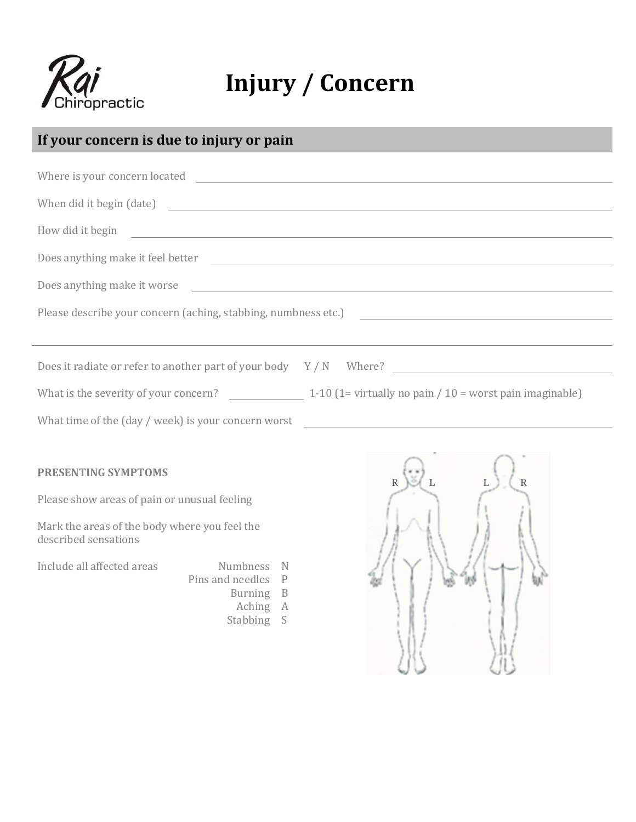

### **Injury / Concern**

### **If your concern is due to injury or pain**

|                                                                              | How did it begin and the contract of the contract of the contract of the contract of the contract of the contract of the contract of the contract of the contract of the contract of the contract of the contract of the contr       |
|------------------------------------------------------------------------------|--------------------------------------------------------------------------------------------------------------------------------------------------------------------------------------------------------------------------------------|
|                                                                              | Does anything make it feel better <b>contract the contract of the contract of the contract of the contract of the contract of the contract of the contract of the contract of the contract of the contract of the contract of th</b> |
|                                                                              | Does anything make it worse                                                                                                                                                                                                          |
|                                                                              | Please describe your concern (aching, stabbing, numbness etc.)                                                                                                                                                                       |
|                                                                              |                                                                                                                                                                                                                                      |
|                                                                              |                                                                                                                                                                                                                                      |
|                                                                              | What is the severity of your concern? $\qquad \qquad$ 1-10 (1= virtually no pain / 10 = worst pain imaginable)                                                                                                                       |
|                                                                              | What time of the (day / week) is your concern worst _____________________________                                                                                                                                                    |
|                                                                              |                                                                                                                                                                                                                                      |
| <b>PRESENTING SYMPTOMS</b>                                                   | $\mathbb{R}$                                                                                                                                                                                                                         |
| Please show areas of pain or unusual feeling                                 |                                                                                                                                                                                                                                      |
| Mark the areas of the body where you feel the<br>described sensations        |                                                                                                                                                                                                                                      |
| Include all affected areas Mumbness N<br>Pins and needles P<br>- Rurning - R |                                                                                                                                                                                                                                      |

- Burning B
- Aching A
- Stabbing S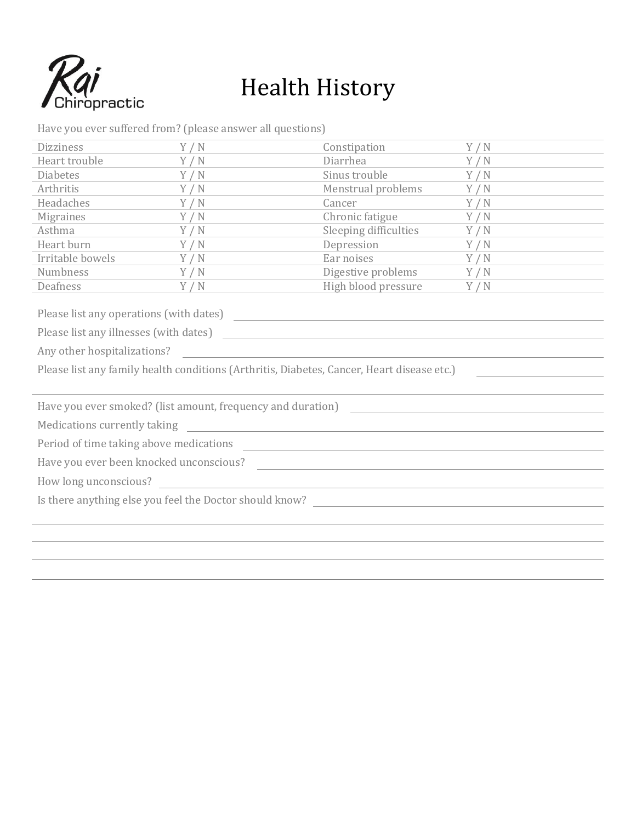

## Health History

| <b>Dizziness</b>                                                                                                                                      | Y/N | Constipation                                                        | Y/N |  |  |  |  |
|-------------------------------------------------------------------------------------------------------------------------------------------------------|-----|---------------------------------------------------------------------|-----|--|--|--|--|
| Heart trouble                                                                                                                                         | Y/N | Diarrhea                                                            | Y/N |  |  |  |  |
| <b>Diabetes</b>                                                                                                                                       | Y/N | Sinus trouble                                                       | Y/N |  |  |  |  |
| Arthritis                                                                                                                                             | Y/N | Menstrual problems                                                  | Y/N |  |  |  |  |
| Headaches                                                                                                                                             | Y/N | Cancer                                                              | Y/N |  |  |  |  |
| <b>Migraines</b>                                                                                                                                      | Y/N | Chronic fatigue                                                     | Y/N |  |  |  |  |
| Asthma                                                                                                                                                | Y/N | Sleeping difficulties                                               | Y/N |  |  |  |  |
| Heart burn                                                                                                                                            | Y/N | Depression                                                          | Y/N |  |  |  |  |
| Irritable bowels                                                                                                                                      | Y/N | Ear noises                                                          | Y/N |  |  |  |  |
| Numbness                                                                                                                                              | Y/N | Digestive problems                                                  | Y/N |  |  |  |  |
| Deafness                                                                                                                                              | Y/N | High blood pressure                                                 | Y/N |  |  |  |  |
|                                                                                                                                                       |     |                                                                     |     |  |  |  |  |
|                                                                                                                                                       |     |                                                                     |     |  |  |  |  |
|                                                                                                                                                       |     |                                                                     |     |  |  |  |  |
| Please list any family health conditions (Arthritis, Diabetes, Cancer, Heart disease etc.)                                                            |     |                                                                     |     |  |  |  |  |
|                                                                                                                                                       |     |                                                                     |     |  |  |  |  |
| Have you ever smoked? (list amount, frequency and duration)                                                                                           |     |                                                                     |     |  |  |  |  |
| Medications currently taking<br><u> 1989 - Johann Barn, mars ann an t-Amhain an t-Amhain an t-Amhain an t-Amhain an t-Amhain an t-Amhain an t-Amh</u> |     |                                                                     |     |  |  |  |  |
|                                                                                                                                                       |     |                                                                     |     |  |  |  |  |
| Have you ever been knocked unconscious?                                                                                                               |     |                                                                     |     |  |  |  |  |
| How long unconscious?                                                                                                                                 |     | <u> 1980 - Johann Barbara, martxa alemaniar amerikan basar da a</u> |     |  |  |  |  |
|                                                                                                                                                       |     |                                                                     |     |  |  |  |  |
|                                                                                                                                                       |     |                                                                     |     |  |  |  |  |
|                                                                                                                                                       |     |                                                                     |     |  |  |  |  |
|                                                                                                                                                       |     |                                                                     |     |  |  |  |  |
|                                                                                                                                                       |     |                                                                     |     |  |  |  |  |
|                                                                                                                                                       |     |                                                                     |     |  |  |  |  |